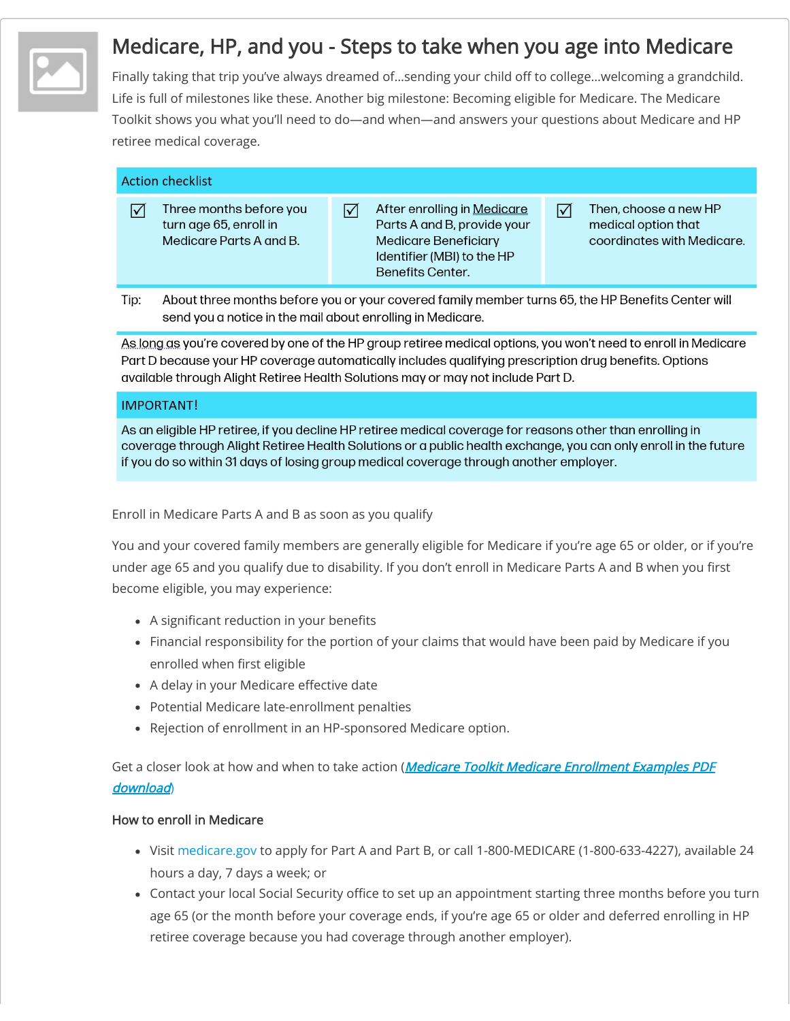

# Medicare, HP, and you - Steps to take when you age into Medicare

Finally taking that trip you've always dreamed of…sending your child off to college…welcoming a grandchild. Life is full of milestones like these. Another big milestone: Becoming eligible for Medicare. The Medicare Toolkit shows you what you'll need to do—and when—and answers your questions about Medicare and HP retiree medical coverage.

| <b>Action checklist</b> |
|-------------------------|
|                         |

- Three months before you  $\triangledown$ turn age 65, enroll in Medicare Parts A and B.
- After enrolling in Medicare  $\overline{\mathsf{M}}$ Parts A and B, provide your **Medicare Beneficiary** Identifier (MBI) to the HP Benefits Center.
- Then, choose a new HP medical option that coordinates with Medicare.

 $\triangledown$ 

Tip: About three months before you or your covered family member turns 65, the HP Benefits Center will send you a notice in the mail about enrolling in Medicare.

As long as you're covered by one of the HP group retiree medical options, you won't need to enroll in Medicare Part D because your HP coverage automatically includes aualifying prescription drug benefits. Options available through Alight Retiree Health Solutions may or may not include Part D.

## **IMPORTANT!**

As an eligible HP retiree, if you decline HP retiree medical coverage for reasons other than enrolling in coverage through Alight Retiree Health Solutions or a public health exchange, you can only enroll in the future if you do so within 31 days of losing group medical coverage through another employer.

Enroll in Medicare Parts A and B as soon as you qualify

You and your covered family members are generally eligible for Medicare if you're age 65 or older, or if you're under age 65 and you qualify due to disability. If you don't enroll in Medicare Parts A and B when you first become eligible, you may experience:

- A significant reduction in your benefits
- Financial responsibility for the portion of your claims that would have been paid by Medicare if you enrolled when first eligible
- A delay in your Medicare effective date
- Potential Medicare late-enrollment penalties
- Rejection of enrollment in an HP-sponsored Medicare option.

Get a closer look at how and when to take action ([Medicare Toolkit Medicare Enrollment Examples PDF](https://www.hpcontinuum.com/resources/dok.php?&download=91) download)

# How to enroll in Medicare

- Visit [medicare.gov](http://www.medicare.gov/) to apply for Part A and Part B, or call 1-800-MEDICARE (1-800-633-4227), available 24 hours a day, 7 days a week; or
- Contact your local Social Security office to set up an appointment starting three months before you turn age 65 (or the month before your coverage ends, if you're age 65 or older and deferred enrolling in HP retiree coverage because you had coverage through another employer).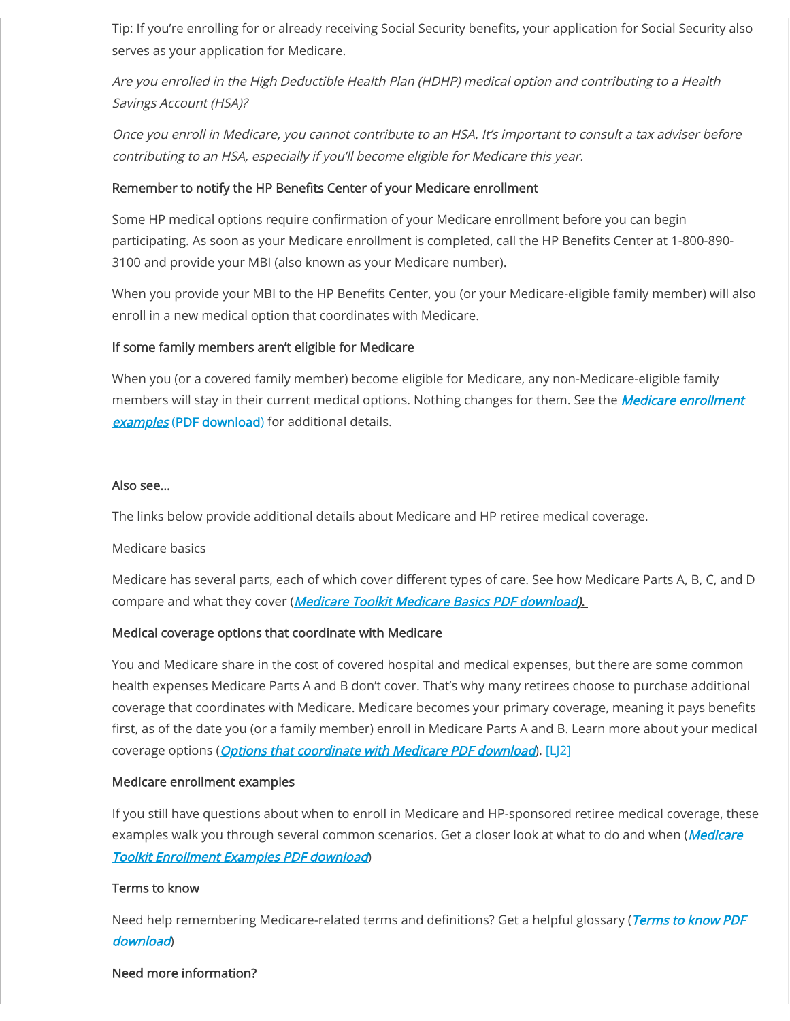Tip: If you're enrolling for or already receiving Social Security benefits, your application for Social Security also serves as your application for Medicare.

Are you enrolled in the High Deductible Health Plan (HDHP) medical option and contributing to a Health Savings Account (HSA)?

Once you enroll in Medicare, you cannot contribute to an HSA. It's important to consult a tax adviser before contributing to an HSA, especially if you'll become eligible for Medicare this year.

# Remember to notify the HP Benefits Center of your Medicare enrollment

Some HP medical options require confirmation of your Medicare enrollment before you can begin participating. As soon as your Medicare enrollment is completed, call the HP Benefits Center at 1-800-890- 3100 and provide your MBI (also known as your Medicare number).

When you provide your MBI to the HP Benefits Center, you (or your Medicare-eligible family member) will also enroll in a new medical option that coordinates with Medicare.

# If some family members aren't eligible for Medicare

When you (or a covered family member) become eligible for Medicare, any non-Medicare-eligible family [members will stay in their current medical options. Nothing changes for them. See the](https://www.hpcontinuum.com/resources/dok.php?&download=91) *Medicare enrollment* examples (PDF download) for additional details.

## Also see…

The links below provide additional details about Medicare and HP retiree medical coverage.

## Medicare basics

Medicare has several parts, each of which cover different types of care. See how Medicare Parts A, B, C, and D compare and what they cover (*Medicare Toolkit Medicare Basics PDF download*).

## Medical coverage options that coordinate with Medicare

You and Medicare share in the cost of covered hospital and medical expenses, but there are some common health expenses Medicare Parts A and B don't cover. That's why many retirees choose to purchase additional coverage that coordinates with Medicare. Medicare becomes your primary coverage, meaning it pays benefits first, as of the date you (or a family member) enroll in Medicare Parts A and B. Learn more about your medical coverage options (*[Options that coordinate with Medicare PDF download](https://www.hpcontinuum.com/resources/dok.php?&download=89)*). [LJ2]

## Medicare enrollment examples

If you still have questions about when to enroll in Medicare and HP-sponsored retiree medical coverage, these [examples walk you through several common scenarios. Get a closer look at what to do and when \(](https://www.hpcontinuum.com/resources/dok.php?&download=91)*Medicare* Toolkit Enrollment Examples PDF download)

## Terms to know

[Need help remembering Medicare-related terms and definitions? Get a helpful glossary \(](https://www.hpcontinuum.com/resources/dok.php?&download=92)Terms to know PDF download)

#### Need more information?